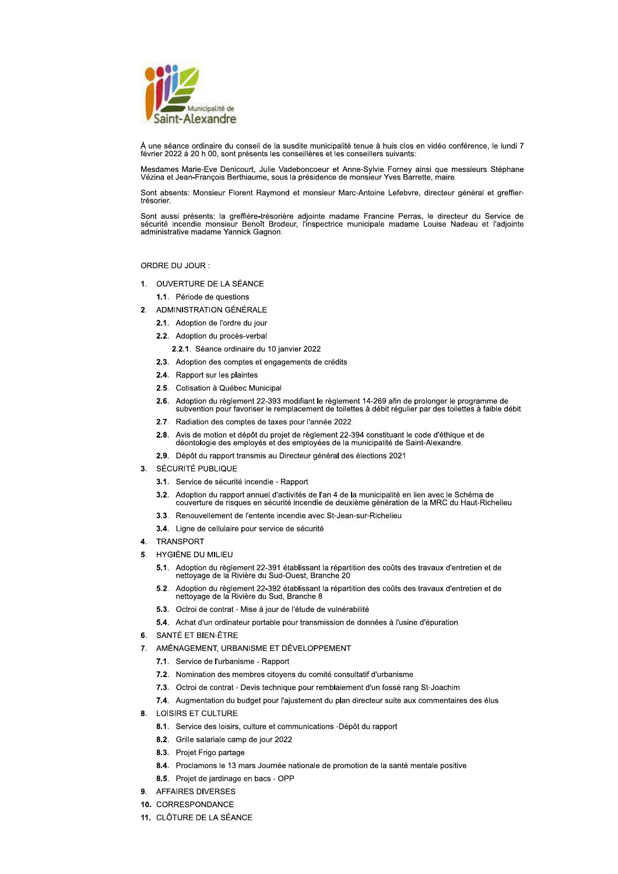

À une séance ordinaire du conseil de la susdite municipalité tenue à huis clos en vidéo conférence, le lundi 7 février 2022 à 20 h 00, sont présents les conseillères et les conseillers suivants:

Mesdames Marie-Eve Denicourt, Julie Vadeboncoeur et Anne-Sylvie Forney ainsi que messieurs Stéphane Vézina et Jean-François Berthiaume, sous la présidence de monsieur Yves Barrette, maire.

Sont absents: Monsieur Florent Raymond et monsieur Marc-Antoine Lefebvre, directeur général et greffiertrésorier.

Sont aussi présents: la greffière-trésorière adjointe madame Francine Perras, le directeur du Service de sécurité incendie monsieur Benoît Brodeur, l'inspectrice municipale madame Louise Nadeau et l'adjointe administrative madame Yannick Gagnon.

ORDRE DU JOUR:

- 1. OUVERTURE DE LA SÉANCE
	- 1.1. Période de questions
- 2. ADMINISTRATION GÉNÉRALE
	- 2.1. Adoption de l'ordre du jour
	- 2.2. Adoption du procès-verbal
		- 2.2.1. Séance ordinaire du 10 janvier 2022
	- 2.3. Adoption des comptes et engagements de crédits
	- 2.4. Rapport sur les plaintes
	- 2.5. Cotisation à Québec Municipal
	- 2.6. Adoption du règlement 22-393 modifiant le règlement 14-269 afin de prolonger le programme de<br>subvention pour favoriser le remplacement de toilettes à débit régulier par des toilettes à faible débit
	- 2.7. Radiation des comptes de taxes pour l'année 2022
	- 2.8. Avis de motion et dépôt du projet de règlement 22-394 constituant le code d'éthique et de déontologie des employés et des employées de la municipalité de Saint-Alexandre.
	- 2.9. Dépôt du rapport transmis au Directeur général des élections 2021
- 3. SÉCURITÉ PUBLIQUE
	- 3.1. Service de sécurité incendie Rapport
	- 3.2. Adoption du rapport annuel d'activités de l'an 4 de la municipalité en lien avec le Schéma de couverture de risques en sécurité incendie de deuxième génération de la MRC du Haut-Richelieu
	- 3.3. Renouvellement de l'entente incendie avec St-Jean-sur-Richelieu
	- 3.4. Ligne de cellulaire pour service de sécurité
- 4. TRANSPORT
- 5 HYGIÈNE DU MILIEU
	- 5.1. Adoption du règlement 22-391 établissant la répartition des coûts des travaux d'entretien et de nettoyage de la Rivière du Sud-Ouest, Branche 20
	- Adoption du règlement 22-392 établissant la répartition des coûts des travaux d'entretien et de  $5.2.$ nettoyage de la Rivière du Sud, Branche 8
	- 5.3. Octroi de contrat Mise à jour de l'étude de vulnérabilité
	- 5.4. Achat d'un ordinateur portable pour transmission de données à l'usine d'épuration
- 6. SANTÉ ET BIEN-ÊTRE
- 7. AMÉNAGEMENT, URBANISME ET DÉVELOPPEMENT
	- 7.1. Service de l'urbanisme Rapport
	- 7.2. Nomination des membres citoyens du comité consultatif d'urbanisme
	- 7.3. Octroi de contrat Devis technique pour remblaiement d'un fossé rang St-Joachim
	- 7.4. Augmentation du budget pour l'ajustement du plan directeur suite aux commentaires des élus
- 8. LOISIRS ET CULTURE
	- 8.1. Service des loisirs, culture et communications -Dépôt du rapport
	- 8.2. Grille salariale camp de jour 2022
	- 8.3. Projet Frigo partage
	- 8.4. Proclamons le 13 mars Journée nationale de promotion de la santé mentale positive
	- 8.5. Projet de jardinage en bacs OPP
- 9. AFFAIRES DIVERSES
- 10. CORRESPONDANCE
- 11 CLÔTURE DE LA SÉANCE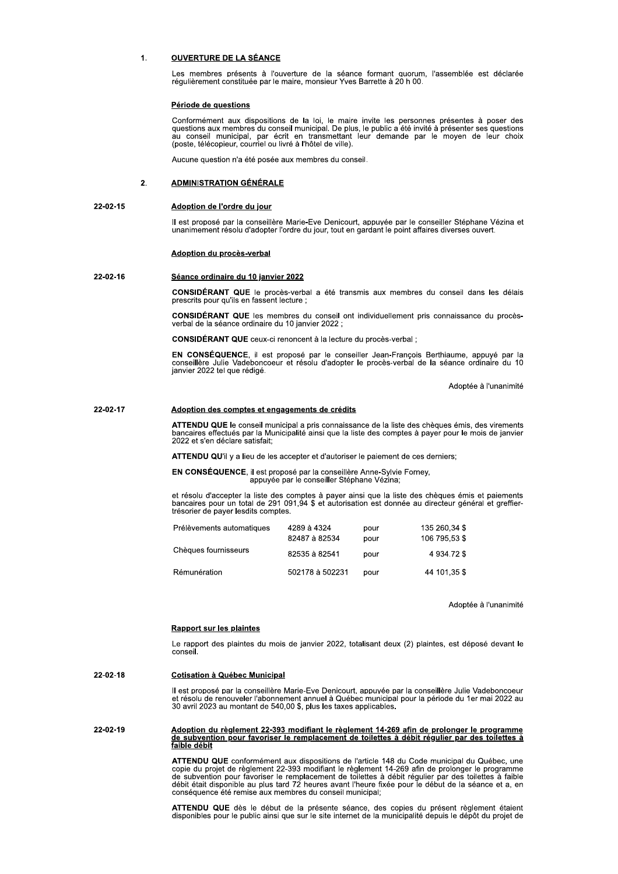#### $1.$ **OUVERTURE DE LA SÉANCE**

Les membres présents à l'ouverture de la séance formant quorum, l'assemblée est déclarée régulièrement constituée par le maire, monsieur Yves Barrette à 20 h 00

### Période de questions

Conformément aux dispositions de la loi, le maire invite les personnes présentes à poser des<br>questions aux membres du conseil municipal. De plus, le public a été invité à présenter ses questions au conseil municipal, par écrit en transmettant leur demande par le moyen de leur choix (poste, télécopieur, courriel ou livré à l'hôtel de ville).

Aucune question n'a été posée aux membres du conseil.

#### $2.$ **ADMINISTRATION GÉNÉRALE**

#### 22-02-15 Adoption de l'ordre du jour

Il est proposé par la conseillère Marie-Eve Denicourt, appuyée par le conseiller Stéphane Vézina et unanimement résolu d'adopter l'ordre du jour, tout en gardant le point affaires diverses ouvert.

### Adoption du procès-verbal

#### 22-02-16 Séance ordinaire du 10 janvier 2022

CONSIDÉRANT QUE le procès-verbal a été transmis aux membres du conseil dans les délais prescrits pour qu'ils en fassent lecture ;

CONSIDÉRANT QUE les membres du conseil ont individuellement pris connaissance du procèsverbal de la séance ordinaire du 10 janvier 2022 ;

CONSIDÉRANT QUE ceux-ci renoncent à la lecture du procès-verbal ;

EN CONSÉQUENCE, il est proposé par le conseiller Jean-François Berthiaume, appuyé par la conseillère Julie Vadeboncoeur et résolu d'adopter le procès-verbal de la séance ordinaire du 10 janvier 2022 tel que rédigé.

Adoptée à l'unanimité

#### 22-02-17 Adoption des comptes et engagements de crédits

ATTENDU QUE le conseil municipal a pris connaissance de la liste des chèques émis, des virements bancaires effectués par la Municipalité ainsi que la liste des comptes à payer pour le mois de janvier<br>2022 et s'en déclare satisfait:

ATTENDU QU'il y a lieu de les accepter et d'autoriser le paiement de ces derniers;

EN CONSÉQUENCE, il est proposé par la conseillère Anne-Sylvie Forney, appuyée par le conseiller Stéphane Vézina;

et résolu d'accepter la liste des comptes à payer ainsi que la liste des chèques émis et paiements bancaires pour un total de 291 091,94 \$ et autorisation est donnée au directeur général et greffiertrésorier de payer lesdits comptes.

| Prélèvements automatiques | 4289 à 4324<br>82487 à 82534 | pour<br>pour | 135 260,34 \$<br>106 795.53 \$ |
|---------------------------|------------------------------|--------------|--------------------------------|
| Chèques fournisseurs      | 82535 à 82541                | pour         | 4 934.72 \$                    |
| Rémunération              | 502178 à 502231              | pour         | 44 101.35 \$                   |

Adoptée à l'unanimité

### **Rapport sur les plaintes**

Le rapport des plaintes du mois de janvier 2022, totalisant deux (2) plaintes, est déposé devant le conseil.

22-02-18 **Cotisation à Québec Municipal** 

> Il est proposé par la conseillère Marie-Eve Denicourt, appuyée par la conseillère Julie Vadeboncoeur et résolu de renouveller l'abonnement annuel à Québec municipal pour la période du 1er mai 2022 au<br>30 avril 2023 au montant de 540,00 \$, plus les taxes applicables.

Adoption du règlement 22-393 modifiant le règlement 14-269 afin de prolonger le programme<br>de subvention pour favoriser le remplacement de toilettes à débit régulier par des toilettes à 22-02-19 faible débit

> ATTENDU QUE conformément aux dispositions de l'article 148 du Code municipal du Québec, une copie du projet de règlement 22-393 modifiant le règlement 14-269 afin de prolonger le programme<br>de subvention pour favoriser le remplacement de toilettes à débit régulier par des toilettes à faible<br>débit était disponible conséquence été remise aux membres du conseil municipal;

> ATTENDU QUE dès le début de la présente séance, des copies du présent règlement étaient disponibles pour le public ainsi que sur le site internet de la municipalité depuis le dépôt du projet de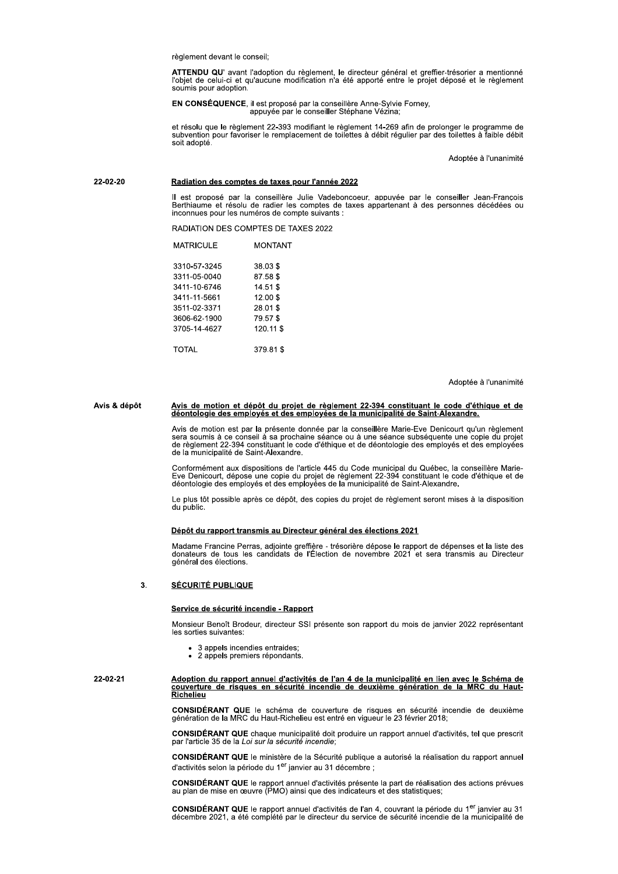règlement devant le conseil:

ATTENDU QU' avant l'adoption du règlement, le directeur général et greffier-trésorier a mentionné l'objet de celui-ci et qu'aucune modification n'a été apporté entre le projet déposé et le règlement soumis pour adoption.

EN CONSÉQUENCE, il est proposé par la conseillère Anne-Sylvie Forney,<br>appuyée par le conseiller Stéphane Vézina;

et résolu que le règlement 22-393 modifiant le règlement 14-269 afin de prolonger le programme de<br>subvention pour favoriser le remplacement de toilettes à débit régulier par des toilettes à faible débit soit adopté.

Adoptée à l'unanimité

### 22-02-20 Radiation des comptes de taxes pour l'année 2022

Il est proposé par la conseillère Julie Vadeboncoeur, appuyée par le conseiller Jean-François<br>Berthiaume et résolu de radier les comptes de taxes appartenant à des personnes décédées ou<br>inconnues pour les numéros de compte

RADIATION DES COMPTES DE TAXES 2022

| MATRICULE    | MONTANT   |
|--------------|-----------|
| 3310-57-3245 | 38.03\$   |
| 3311-05-0040 | 87.58\$   |
| 3411-10-6746 | 14.51 \$  |
| 3411-11-5661 | 12.00\$   |
| 3511-02-3371 | 28.01\$   |
| 3606-62-1900 | 79.57\$   |
| 3705-14-4627 | 120.11 \$ |
| TOTAL        | 379.81\$  |

Adoptée à l'unanimité

# Avis de motion et dépôt du projet de règlement 22-394 constituant le code d'éthique et de<br>déontologie des employés et des employées de la municipalité de Saint-Alexandre. Avis & dépôt

Avis de motion est par la présente donnée par la conseillère Marie-Eve Denicourt qu'un règlement<br>sera soumis à ce conseil à sa prochaine séance ou à une séance subséquente une copie du projet<br>de règlement 22-394 constituan

Conformément aux dispositions de l'article 445 du Code municipal du Québec, la conseillère Marie-<br>Eve Denicourt, dépose une copie du projet de règlement 22-394 constituant le code d'éthique et de<br>déontologie des employés e

Le plus tôt possible après ce dépôt, des copies du proiet de règlement seront mises à la disposition du public.

### Dépôt du rapport transmis au Directeur général des élections 2021

Madame Francine Perras, adjointe greffière - trésorière dépose le rapport de dépenses et la liste des<br>donateurs de tous les candidats de l'Élection de novembre 2021 et sera transmis au Directeur général des élections.

#### 3. **SÉCURITÉ PUBLIQUE**

### Service de sécurité incendie - Rapport

Monsieur Benoît Brodeur, directeur SSI présente son rapport du mois de janvier 2022 représentant les sorties suivantes:

- 3 appels incendies entraides:
- 2 appels premiers répondants.

### Adoption du rapport annuel d'activités de l'an 4 de la municipalité en lien avec le Schéma de 22-02-21 couverture de risques en sécurité incendie de deuxième génération de la MRC du Haut-<u>couvertur</u><br>Richelieu

CONSIDÉRANT QUE le schéma de couverture de risques en sécurité incendie de deuxième génération de la MRC du Haut-Richelieu est entré en vigueur le 23 février 2018;

CONSIDÉRANT QUE chaque municipalité doit produire un rapport annuel d'activités, tel que prescrit par l'article 35 de la Loi sur la sécurité incendie:

CONSIDÉRANT QUE le ministère de la Sécurité publique a autorisé la réalisation du rapport annuel d'activités selon la période du 1<sup>er</sup> janvier au 31 décembre ;

CONSIDÉRANT QUE le rapport annuel d'activités présente la part de réalisation des actions prévues au plan de mise en œuvre (PMO) ainsi que des indicateurs et des statistiques;

CONSIDÉRANT QUE le rapport annuel d'activités de l'an 4, couvrant la période du 1<sup>er</sup> janvier au 31 décembre 2021, a été complété par le directeur du service de sécurité incendie de la municipalité de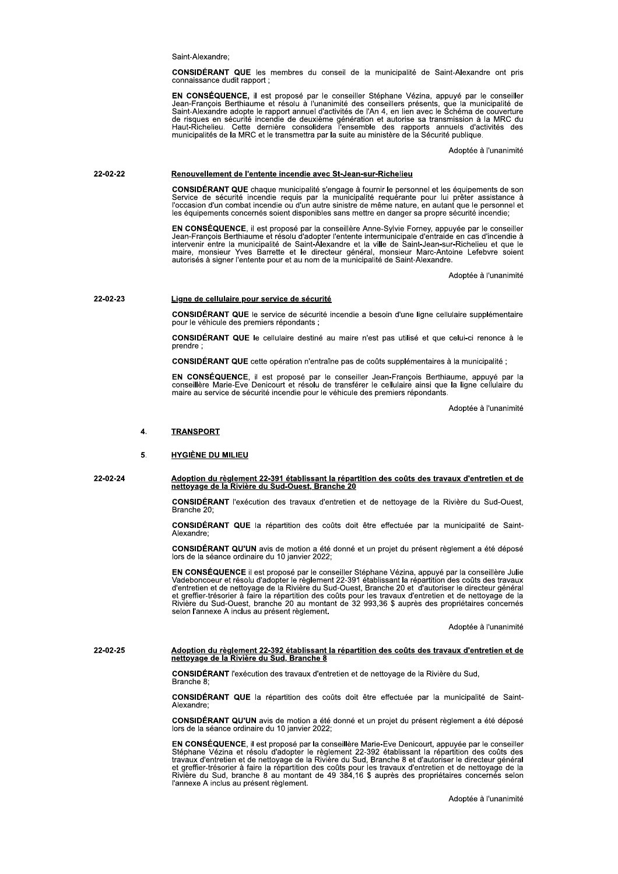Saint-Alexandre;

CONSIDERANT QUE les membres du conseil de la municipalité de Saint-Alexandre ont pris<br>connaissance dudit rapport ; ssance qudit rapport ;

EN CONSEQUENCE, il est propose par le consellier Stephane Vezina, appuye par le consellier<br>Jean-François Berthiaume et résolu à l'unanimité des conseillers présents, que la municipalité de<br>Saint-Alexandre adopte le rapport eil de la municipalité de Saint-Alexandre<br>
principalité de Saint-Alexandre<br>
inté des conseillers présents, que la municipalité<br>
vités de l'An 4, en lien avec le Schéma de co<br>
génération et autorise sa transmission à la<br>
l' de risques en securite incendie de deuxieme generation et autorise sa transmission a la MRC du<br>Haut-Richelieu. Cette dernière consolidera l'ensemble des rapports annuels d'activités des<br>municipalités de la MRC et le transm

Adoptee a runanimite

### 22-02-22 Renouvellement de l'entente incendie avec St-Jean-sur-Richelieu

CONSIDERANT QUE chaque municipalite s'engage a fournir le personnel et les equipements de son<br>Service de sécurité incendie requis par la municipalité requérante pour lui prêter assistance à<br>l'occasion d'un combat incendie les equipements concernes soient disponibles sans mettre en danger sa propre securite incendie;

EN CONSEQUENCE, il est propose par la conseillere Anne-Sylvie Forney, appuyee par le conseiller<br>Jean-François Berthiaume et résolu d'adopter l'entent intermunicipale d'entraide en cas d'incendie à<br>matervenir entre la munic

optee a runanimite

### 22-02-23 Ligne de cellulaire pour service de sécurité

**CONSIDERANT QUE** le service de securite incendie a besoin d'une ligne cellulaire supplementaire pour le venicule des premiers repondants ;

**CONSIDERANT QUE** le cellulaire destine au maire n'est pas utilise et que celui-ci renonce a le prenare ;

CONSIDERANT QUE cette operation n'entraine pas de couts supplementaires a la municipalite ;

EN CONSEQUENCE, il est propose par le conseiller Jean-François Berthiaume, appuye par la<br>conseillère Marie-Eve Denicourt et résolu de transférer le cellulaire ainsi que la ligne cellulaire du maire au service de securite incendie pour le venicule des premiers reponda

ants.<br>Adoptée à l'unanimité

### 4. TRANSPORT

### 5. HYGIÈNE DU MILIEU

22-02-24 Adoption du règlement 22-391 établissant la répartition des coûts des travaux d'entretien et de<br>
<u>nettoyage de la Rivière du Sud-Ouest, Branche 20</u>

**CONSIDERANT** l'execution des travaux d'entretien et de nettoyage de la Riviere du Sud-Ouest, Branche 20

**CONSIDERANT QUE** la repartition des couts doit etre effectuée par la municipalité de Saint-Alexandre;

CONSIDERANT QU'UN avis de motion a ete donne et un projet du present reglement a ete depose<br>lors de la séance ordinaire du 10 janvier 2022;

EN CONSEQUENCE II est propose par le conseille d'entretien et de nettoyage de la Rivière du<br>
coûts doit être effectuée par la municipal<br>
été donné et un projet du présent règlement<br>
22;<br>
conseiller Stéphane Vézina, appuyé par la co<br>
entre 22-391 établissant la répartit EN CONSEQUENCE II est propose par le consellier Stephane vezina, appuye par la conselliere Julie<br>Vadeboncoeur et résolu d'adopter le règlement 22-391 établissant la répartition des coûts des travaux<br>d'entretien et de netto et greffier-tresorier a faire la repartition des couts pour les travaux d'entretien et de nettoyage de la<br>Rivière du Sud-Ouest, branche 20 au montant de 32 993,36 \$ auprès des propriétaires concernés selon l'annexe A inclus au present reglement.

Adoptee a l'unanimite

# 22-02-25 Adoption du règlement 22-392 établissant la répartition des coûts des travaux d'entretien et de<br>
nettoyage de la Rivière du Sud, Branche 8

**CONSIDERANT** rexecution des travaux d'entretien et de nettoyage de la Riviere du Sud, Branche 8;

**CONSIDERANT QUE** la repartition des couts doit etre effectuée par la municipalité de Saint-Alexandre;

**CONSIDERANT QU'UN** avis de motion a ete donne et un projet du present regiement a ete depose lors de la seance ordinaire du 10 janvier 2022;

EN CONSEQUENCE, il est propose par la conseillere Marie-Eve Denicourt, appuyée par le conseille Branche 8;<br> **CONSIDÉRANT QUE** la répartition des coûts doit être effectuée par la municipalité de Saint-<br>
Alexandre;<br> **CONSIDÉRANT QU'UN** avis de motion a été donné et un projet du présent règlement a été déposé<br>
lors de l Stepnane Vezina et resolu d'adopter le regiement 22-392 etablissant la repartition des couts des<br>travaux d'entretien et de nettoyage de la Rivière du Sud, Branche 8 et d'autoriser le directeur général et greffier-tresorier a faire la repartition des couts pour les travaux d'entretien et de nettoyage de la<br>Rivière du Sud, branche 8 au montant de 49 384,16 \$ auprès des propriétaires concernés selon<br>l'annexe A inclus au pr l'annexe A inclus au présent règlement.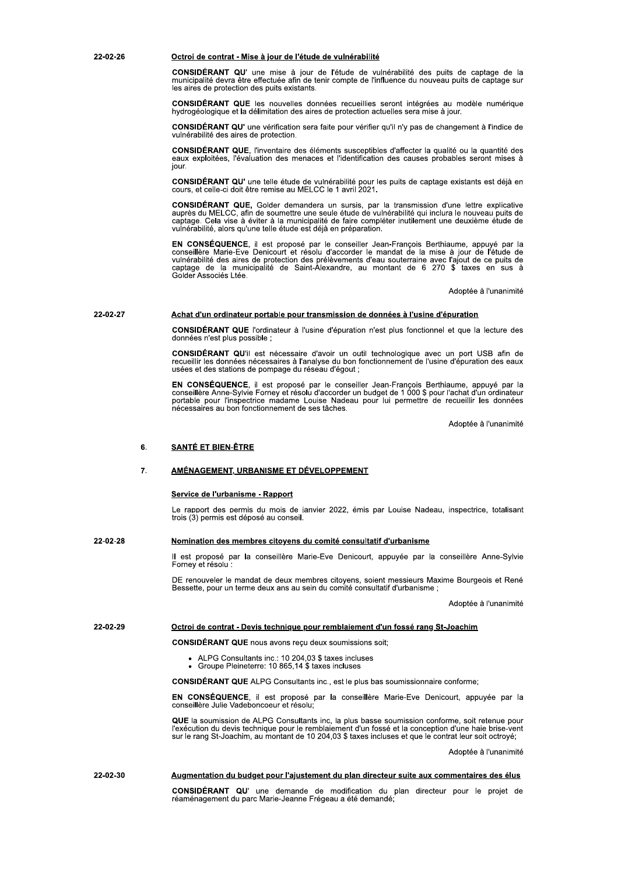### 22-02-26

### Octroi de contrat - Mise à jour de l'étude de vulnérabilité

CONSIDÉRANT QU' une mise à jour de l'étude de vulnérabilité des puits de captage de la municipalité devra être effectuée afin de tenir compte de l'influence du nouveau puits de captage sur les aires de protection des puits existants.

CONSIDÉRANT QUE les nouvelles données recueillies seront intégrées au modèle numérique<br>hydrogéologique et la délimitation des aires de protection actuelles sera mise à jour.

**CONSIDÉRANT QU'** une vérification sera faite pour vérifier qu'il n'y pas de changement à l'indice de vulnérabilité des aires de protection

CONSIDÉRANT QUE, l'inventaire des éléments susceptibles d'affecter la qualité ou la quantité des eaux exploitées, l'évaluation des menaces et l'identification des causes probables seront mises à jour.

CONSIDÉRANT QU' une telle étude de vulnérabilité pour les puits de captage existants est déjà en cours, et celle-ci doit être remise au MELCC le 1 avril 2021.

CONSIDÉRANT QUE, Golder demandera un sursis, par la transmission d'une lettre explicative auprès du MELCC, afin de soumettre une seule étude de vulnérabilité qui inclura le nouveau puits de captage. Cela vise à éviter à la municipalité de faire compléter inutilement une deuxième étude de vulnérabilité, alors qu'une telle étude est déjà en préparation.

EN CONSÉQUENCE, il est proposé par le conseiller Jean-François Berthiaume, appuyé par la Conseillere Marie-Eve Denicourt et résolu d'accorder le mandat de la mise à jour de l'étude de<br>vulnérabilité des aires de protection des prélèvements d'eau souterraine avec l'ajout de ce puits de<br>vulnérabilité des aires de

Adoptée à l'unanimité

#### 22-02-27 Achat d'un ordinateur portable pour transmission de données à l'usine d'épuration

**CONSIDÉRANT QUE** l'ordinateur à l'usine d'épuration n'est plus fonctionnel et que la lecture des données n'est plus possible :

CONSIDÉRANT QU'il est nécessaire d'avoir un outil technologique avec un port USB afin de recueillir les données nécessaires à l'analyse du bon fonctionnement de l'usine d'épuration des eaux usées et des stations de pompage du réseau d'égout ;

EN CONSÉQUENCE, il est proposé par le conseiller Jean-François Berthiaume, appuyé par la conseillere Anne-Sylvie Forney et résolu d'accorder un budget de 1 000 \$ pour l'achat d'un ordinateur<br>portable pour l'inspectrice madame Louise Nadeau pour lui permettre de recueillir les données nécessaires au bon fonctionnement de ses tâches.

Adoptée à l'unanimité

### 6 **SANTÉ ET BIEN-ÊTRE**

### $\overline{7}$ AMÉNAGEMENT, URBANISME ET DÉVELOPPEMENT

### Service de l'urbanisme - Rapport

Le rapport des permis du mois de janvier 2022, émis par Louise Nadeau, inspectrice, totalisant trois (3) permis est déposé au conseil.

#### 22-02-28 Nomination des membres citoyens du comité consultatif d'urbanisme

Il est proposé par la conseillère Marie-Eve Denicourt, appuyée par la conseillère Anne-Sylvie Forney et résolu :

DE renouveler le mandat de deux membres citoyens, soient messieurs Maxime Bourgeois et René Bessette, pour un terme deux ans au sein du comité consultatif d'urbanisme ;

Adoptée à l'unanimité

#### 22-02-29 Octroi de contrat - Devis technique pour remblaiement d'un fossé rang St-Joachim

**CONSIDÉRANT QUE** nous avons reçu deux soumissions soit;

- ALPG Consultants inc.: 10 204,03 \$ taxes incluses<br>• Groupe Pleineterre: 10 865,14 \$ taxes incluses
- 

CONSIDÉRANT QUE ALPG Consultants inc., est le plus bas soumissionnaire conforme;

EN CONSÉQUENCE, il est proposé par la conseillère Marie-Eve Denicourt, appuyée par la conseillère Julie Vadeboncoeur et résolu;

QUE la soumission de ALPG Consultants inc, la plus basse soumission conforme, soit retenue pour l'exécution du devis technique pour le remblaiement d'un fossé et la conception d'une haie brise-vent sur le rang St-Joachim, au montant de 10 204,03 \$ taxes incluses et que le contrat leur soit octroyé;

Adoptée à l'unanimité

#### 22-02-30 Augmentation du budget pour l'ajustement du plan directeur suite aux commentaires des élus

CONSIDÉRANT QU' une demande de modification du plan directeur pour le projet de réaménagement du parc Marie-Jeanne Frégeau a été demandé;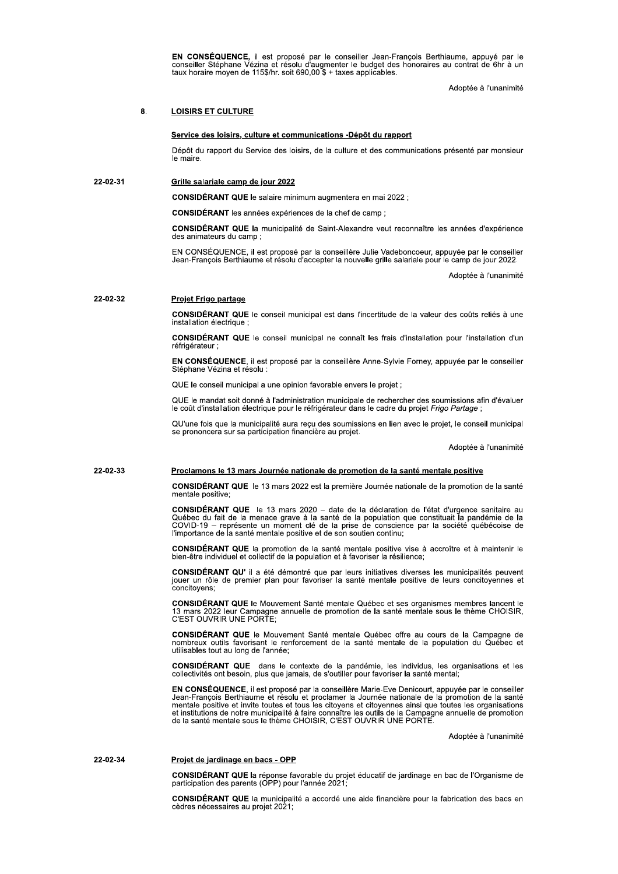EN CONSÉQUENCE, il est proposé par le conseiller Jean-François Berthiaume, appuyé par le conseiller Stéphane Vézina et résolu d'augmenter le budget des honoraires au contrat de 6hr à un taux horaire moyen de 115\$/hr. soit 690,00 \$ + taxes applicables.

Adoptée à l'unanimité

#### $\mathbf{a}$ **LOISIRS ET CULTURE**

Grille salariale camp de jour 2022

### Service des loisirs, culture et communications -Dépôt du rapport

Dépôt du rapport du Service des loisirs, de la culture et des communications présenté par monsieur le maire

22-02-31

CONSIDÉRANT QUE le salaire minimum augmentera en mai 2022 ;

CONSIDÉRANT les années expériences de la chef de camp ;

CONSIDÉRANT QUE la municipalité de Saint-Alexandre veut reconnaître les années d'expérience des animateurs du camp :

EN CONSÉQUENCE, il est proposé par la conseillère Julie Vadeboncoeur, appuyée par le conseiller<br>Jean-François Berthiaume et résolu d'accepter la nouvelle grille salariale pour le camp de jour 2022.

Adoptée à l'unanimité

#### 22-02-32 Projet Frigo partage

CONSIDÉRANT QUE le conseil municipal est dans l'incertitude de la valeur des coûts reliés à une installation électrique :

CONSIDÉRANT QUE le conseil municipal ne connaît les frais d'installation pour l'installation d'un réfrigérateur ;

EN CONSÉQUENCE, il est proposé par la conseillère Anne-Sylvie Forney, appuyée par le conseiller Stéphane Vézina et résolu :

QUE le conseil municipal a une opinion favorable envers le projet ;

QUE le mandat soit donné à l'administration municipale de rechercher des soumissions afin d'évaluer le coût d'installation électrique pour le réfrigérateur dans le cadre du projet Frigo Partage ;

QU'une fois que la municipalité aura reçu des soumissions en lien avec le projet, le conseil municipal se prononcera sur sa participation financière au projet.

Adoptée à l'unanimité

### 22-02-33 Proclamons le 13 mars Journée nationale de promotion de la santé mentale positive

CONSIDÉRANT QUE le 13 mars 2022 est la première Journée nationale de la promotion de la santé mentale positive;

**CONSIDÉRANT QUE** le 13 mars 2020 - date de la déclaration de l'état d'urgence sanitaire au Ouébec du fait de la menace grave à la santé de la population que constituait la pandémie de la<br>COVID-19 – représente un moment clé de la prise de conscience par la société québécoise de<br>l'importance de la santé mentale po

CONSIDÉRANT QUE la promotion de la santé mentale positive vise à accroître et à maintenir le bien-être individuel et collectif de la population et à favoriser la résilience;

CONSIDÉRANT QU' il a été démontré que par leurs initiatives diverses les municipalités peuvent jouer un rôle de premier plan pour favoriser la santé mentale positive de leurs concitoyennes et concitoyens;

CONSIDÉRANT QUE le Mouvement Santé mentale Québec et ses organismes membres lancent le San Campagne annualle de promotion de la santé mentale sous le thème CHOISIR,<br>C'EST OUVRIR UNE PORTE;

CONSIDÉRANT QUE le Mouvement Santé mentale Québec offre au cours de la Campagne de nombreux outlis favorisant le renforcement de la santé mentale de la population du Québec et<br>utilisables tout au long de l'année;

**CONSIDÉRANT QUE** dans le contexte de la pandémie, les individus, les organisations et les collectivités ont besoin, plus que jamais, de s'outiller pour favoriser la santé mental;

EN CONSÉQUENCE, il est proposé par la conseillère Marie-Eve Denicourt, appuyée par le conseiller<br>Jean-François Berthiaume et résolu et proclamer la Journée nationale de la promotion de la santé<br>mentale positive et invite t de institutions de notre municipalité à faire connaître les outils de la Campagne annuelle de promotion<br>de la santé mentale sous le thème CHOISIR, C'EST OUVRIR UNE PORTE.

Adoptée à l'unanimité

### 22-02-34 Projet de jardinage en bacs - OPP

CONSIDÉRANT QUE la réponse favorable du projet éducatif de jardinage en bac de l'Organisme de participation des parents (OPP) pour l'année 2021;

CONSIDÉRANT QUE la municipalité a accordé une aide financière pour la fabrication des bacs en cèdres nécessaires au projet 2021;